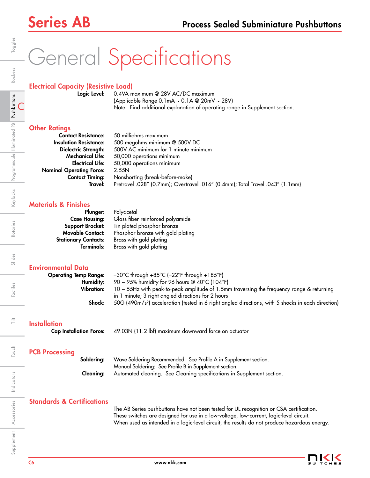# General Specifications

### Electrical Capacity (Resistive Load)

Logic Level: 0.4VA maximum @ 28V AC/DC maximum (Applicable Range 0.1mA ~ 0.1A @ 20mV ~ 28V) Note: Find additional explanation of operating range in Supplement section.

### **Other Ratings**

| <b>Contact Resistance:</b>      | 50 milliohms maximum                                                          |
|---------------------------------|-------------------------------------------------------------------------------|
| <b>Insulation Resistance:</b>   | 500 megohms minimum @ 500V DC                                                 |
| Dielectric Strength:            | 500V AC minimum for 1 minute minimum                                          |
| <b>Mechanical Life:</b>         | 50,000 operations minimum                                                     |
| <b>Electrical Life:</b>         | 50,000 operations minimum                                                     |
| <b>Nominal Operating Force:</b> | 2.55N                                                                         |
| <b>Contact Timing:</b>          | Nonshorting (break-before-make)                                               |
| Travel:                         | Pretravel .028" (0.7mm); Overtravel .016" (0.4mm); Total Travel .043" (1.1mm) |
|                                 |                                                                               |

## Materials & Finishes

| Plunger:                    | Polyacetal                        |
|-----------------------------|-----------------------------------|
| <b>Case Housing:</b>        | Glass fiber reinforced polyamide  |
| <b>Support Bracket:</b>     | Tin plated phosphor bronze        |
| <b>Movable Contact:</b>     | Phosphor bronze with gold plating |
|                             | Brass with gold plating           |
| Terminals:                  | Brass with gold plating           |
| <b>Stationary Contacts:</b> |                                   |

## Environmental Data

| <b>Operating Temp Range:</b> | $-30^{\circ}$ C through +85 $^{\circ}$ C ( $-22^{\circ}$ F through +185 $^{\circ}$ F)                          |
|------------------------------|----------------------------------------------------------------------------------------------------------------|
| Humidity:                    | 90 ~ 95% humidity for 96 hours @ 40°C (104°F)                                                                  |
| Vibration:                   | $10 \sim 55$ Hz with peak-to-peak amplitude of 1.5mm traversing the frequency range & returning                |
|                              | in 1 minute; 3 right angled directions for 2 hours                                                             |
| Shock:                       | 50G (490m/s <sup>2</sup> ) acceleration (tested in 6 right angled directions, with 5 shocks in each direction) |
|                              |                                                                                                                |

## **Installation**

Cap Installation Force: 49.03N (11.2 lbf) maximum downward force on actuator

## PCB Processing

| Solderina: | Wave Soldering Recommended: See Profile A in Supplement section.       |
|------------|------------------------------------------------------------------------|
|            | Manual Soldering: See Profile B in Supplement section.                 |
| Cleanina:  | Automated cleaning. See Cleaning specifications in Supplement section. |

### Standards & Certifications

The AB Series pushbuttons have not been tested for UL recognition or CSA certification. These switches are designed for use in a low-voltage, low-current, logic-level circuit. When used as intended in a logic-level circuit, the results do not produce hazardous energy.



Rotaries

Slides

Tactiles

ŧ

Touch

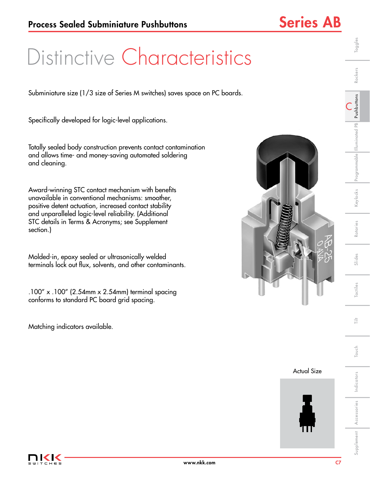## Distinctive Characteristics

Subminiature size (1/3 size of Series M switches) saves space on PC boards.

Specifically developed for logic-level applications.

Totally sealed body construction prevents contact contamination and allows time- and money-saving automated soldering and cleaning.

Award-winning STC contact mechanism with benefits unavailable in conventional mechanisms: smoother, positive detent actuation, increased contact stability and unparalleled logic-level reliability. (Additional STC details in Terms & Acronyms; see Supplement section.)

Molded-in, epoxy sealed or ultrasonically welded terminals lock out flux, solvents, and other contaminants.

.100" x .100" (2.54mm x 2.54mm) terminal spacing conforms to standard PC board grid spacing.

Matching indicators available.



Actual Size



C

Toggles

Rockers

Slides

Tactiles

Indicators

Indicators

Touch Tilt

Touch

言

Accessories

Supplement **Accessories** 

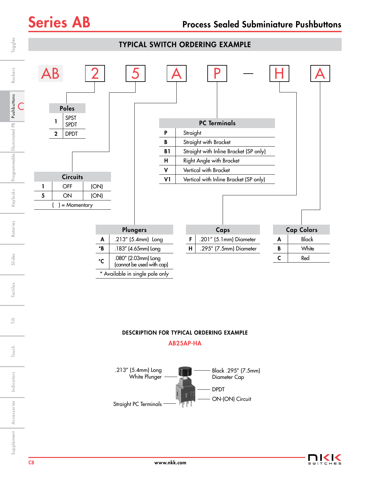

## DESCRIPTION FOR TYPICAL ORDERING EXAMPLE

### AB25AP-HA





Indicators

Indicators

ŧ

Touch

Accessories

Supplement Accessories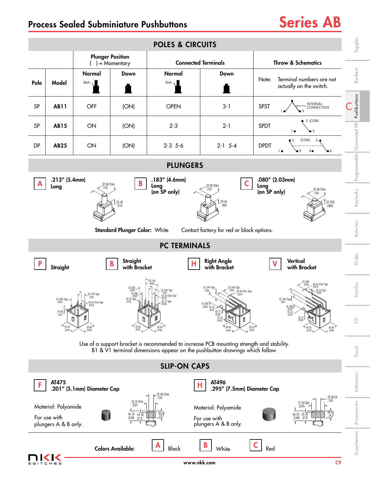## Process Sealed Subminiature Pushbuttons Series AB

### Toggles Slides | Rotaries | Keylocks |Programmable |Illuminated PB | **Pushbuttons** | Rockers | Toggles POLES & CIRCUITS Plunger Position ( ) = Momentary Connected Terminals Throw & Schematics Rockers Normal Down Normal Down Note: Terminal numbers are not Pole | Model  $Slot$  $Slot_{\sim}$ actually on the switch.  $\blacksquare$  $\blacksquare$ Programmable Illuminated PB Pushbuttons Pushbuttons INTERNAL CONNECTION C SP | **AB11** | OFF | (ON) | OPEN | 3-1 | SPST 1●⁄ ● 3 2 (COM) Illuminated PB SP AB15 ON (ON) 2-3 2-1 SPDT  $1 \bullet \bullet 3$ (COM)5 2 DP AB25 ON (ON) 2-3 5-6 2-1 5-4 DPDT  $1 \bullet \bullet 3$  $4<sub>•</sub>$ 6 PLUNGERS .183" (4.6mm) .080" (2.03mm) .213" (5.4mm)  $\mathsf{A}$   $\begin{bmatrix} 2.1 & 0 & -111111 \\ 1 & 0 & 0 \end{bmatrix}$   $\begin{bmatrix} 2.8 & 0 & 0 \\ 0 & 0 & 0 \end{bmatrix}$   $\begin{bmatrix} 1 & 0 & 0 \\ 0 & 1 & 0 \end{bmatrix}$   $\begin{bmatrix} 1 & 0 & 0 \\ 0 & 0 & 0 \end{bmatrix}$   $\begin{bmatrix} 2.8 & 0 & 0 \\ 0 & 0 & 0 \end{bmatrix}$ (2.8) Dia (2.8) Dia Long Long Long .110 Keylocks  $(2.8)$  Dia (on SP only) Supplement Accessories | Indicators | Touch | Tilt | Tactiles | Slides | Rotaries | Keylocks .110 (4.6)  $(2.03)$ (5.4) .183 .080 .213 Rotaries Standard Plunger Color: White Contact factory for red or black options. PC TERMINALS Slides **Straight** Right Angle **Vertical**  $\begin{array}{|c|c|c|c|c|}\n \hline\n P & \text{Strain} & \text{B} & \text{surail} & \text{B} & \text{with } \text{Rrac} & \text{with } \text{Rrac} & \text{with } \text{Rrac} & \text{with } \text{Rrac} & \text{with } \text{Rrac} & \text{with } \text{Rrac} & \text{with } \text{Rrac} & \text{with } \text{Rrac} & \text{with } \text{Rrac} & \text{with } \text{Rrac} & \text{with } \text{Rrac} & \text{with } \text{Rrac} & \text{with } \text{Rrac} & \text{with } \text{Rrac} & \text$ **Straight** with Bracket with Bracket with Bracket (10.16) (5.08) (0.6) Dia Typ .024 .400 .200 catiles (2.54) Typ (2.54) Typ .100 (5.08) .100 .200 (5.08) (2.54) Typ .100 (0.5) Typ .020 (0.6) Dia Typ .024 (2.54) Typ .<br>(1.Dia Typ .100 .200  $(2.54)$  Typ. (5.08) Typ .200  $^{(0.3) \text{ Type}}$  .  $^{(0.3) \text{ Type}}$  . 024 Typ .027 Typ .027 Typ .028 (0.6) Dia Typ (5.08) .024  $(5.0$ .200 (0.3) .200 .012 (0.8) .031 (0.7) (0.3) .028  $.012$ <sup>-</sup> (0.7) (0.5) 言 Touch Tilt .020 .028 (8.8) (9.0) .354 (9.0)  $^{[9.0]}_{.354}$  (8.8) (8.8) (9.0) .354 (9.0)  $.354$   $.346$ .346 .346 .346 .346 Use of a support bracket is recommended to increase PCB mounting strength and stability. Touch B1 & V1 terminal dimensions appear on the pushbutton drawings which follow. SLIP-ON CAPS Indicators Indicators AT475 AT496  $\mathbf{F}$   $\mathbf{R}$   $\mathbf{A}$   $\mathbf{A}$   $\mathbf{A}$   $\mathbf{B}$   $\mathbf{C}$   $\mathbf{C}$   $\mathbf{C}$   $\mathbf{C}$   $\mathbf{C}$   $\mathbf{C}$   $\mathbf{C}$   $\mathbf{C}$   $\mathbf{C}$   $\mathbf{C}$   $\mathbf{C}$   $\mathbf{C}$   $\mathbf{C}$   $\mathbf{C}$   $\mathbf{C}$   $\mathbf{C}$   $\mathbf{C}$   $\mathbf{C}$   $\mathbf{$ .295" (7.5mm) Diameter Cap (2.8) Dia  $(2.8)$  Di .110 .110 Accessories (5.1) Dia .201 (7.5) Dia Accessories Material: Polyamide Material: Polyamide .295  $(6.3)$ <br>.248 (4.0) (4.0) .248 (5.4)  $.248$   $.213$   $.157$  $\begin{array}{|c|c|c|c|c|}\n 157 \\
\hline\n 213 & \overline{157}\n \end{array}$ For use with For use with .213 plungers A & B only. plungers A & B only. Supplement Colors Available: **A** Black **B** White **C** Red  $\mathsf{A}$   $\vert$   $\mathsf{B}$   $\vert$   $\mathsf{W}$   $\vert$   $\mathsf{W}$   $\vert$   $\mathsf{C}$



www.nkk.com and the community of the community of the community of the community of  $\mathbb{C}$ 9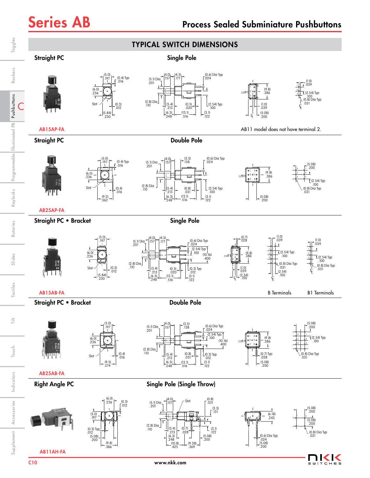

K K s w